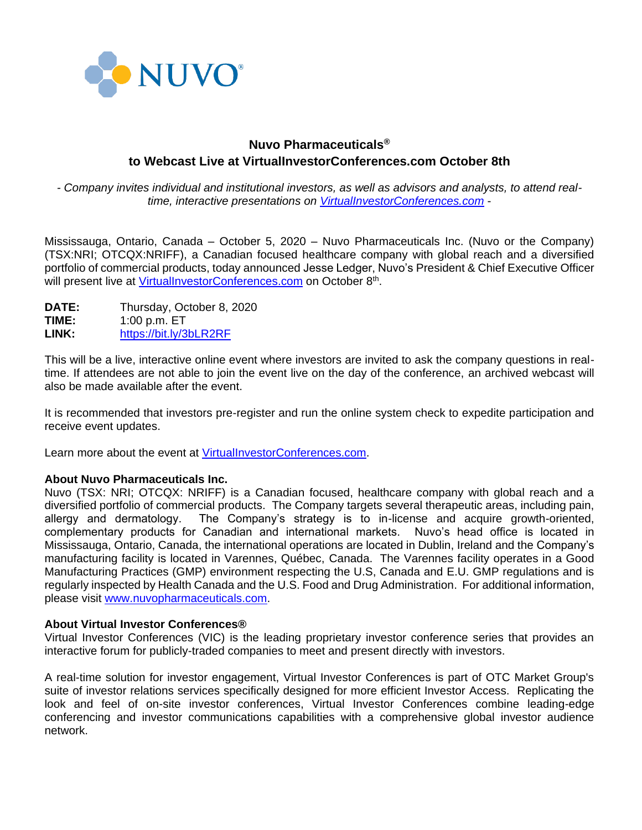

# **Nuvo Pharmaceuticals® to Webcast Live at VirtualInvestorConferences.com October 8th**

*- Company invites individual and institutional investors, as well as advisors and analysts, to attend realtime, interactive presentations on [VirtualInvestorConferences.com](http://www.virtualinvestorconference.com/)* -

Mississauga, Ontario, Canada – October 5, 2020 – Nuvo Pharmaceuticals Inc. (Nuvo or the Company) (TSX:NRI; OTCQX:NRIFF), a Canadian focused healthcare company with global reach and a diversified portfolio of commercial products, today announced Jesse Ledger, Nuvo's President & Chief Executive Officer will present live at *VirtualInvestorConferences.com* on October 8<sup>th</sup>.

**DATE:** Thursday, October 8, 2020 **TIME:** 1:00 p.m. ET **LINK:** <https://bit.ly/3bLR2RF>

This will be a live, interactive online event where investors are invited to ask the company questions in realtime. If attendees are not able to join the event live on the day of the conference, an archived webcast will also be made available after the event.

It is recommended that investors pre-register and run the online system check to expedite participation and receive event updates.

Learn more about the event at [VirtualInvestorConferences.com.](http://www.virtualinvestorconference.com/)

#### **About Nuvo Pharmaceuticals Inc.**

Nuvo (TSX: NRI; OTCQX: NRIFF) is a Canadian focused, healthcare company with global reach and a diversified portfolio of commercial products. The Company targets several therapeutic areas, including pain, allergy and dermatology. The Company's strategy is to in-license and acquire growth-oriented, complementary products for Canadian and international markets. Nuvo's head office is located in Mississauga, Ontario, Canada, the international operations are located in Dublin, Ireland and the Company's manufacturing facility is located in Varennes, Québec, Canada. The Varennes facility operates in a Good Manufacturing Practices (GMP) environment respecting the U.S, Canada and E.U. GMP regulations and is regularly inspected by Health Canada and the U.S. Food and Drug Administration. For additional information, please visit [www.nuvopharmaceuticals.com.](http://www.nuvopharmaceuticals.com/)

#### **About Virtual Investor Conferences®**

Virtual Investor Conferences (VIC) is the leading proprietary investor conference series that provides an interactive forum for publicly-traded companies to meet and present directly with investors.

A real-time solution for investor engagement, Virtual Investor Conferences is part of OTC Market Group's suite of investor relations services specifically designed for more efficient Investor Access. Replicating the look and feel of on-site investor conferences, Virtual Investor Conferences combine leading-edge conferencing and investor communications capabilities with a comprehensive global investor audience network.